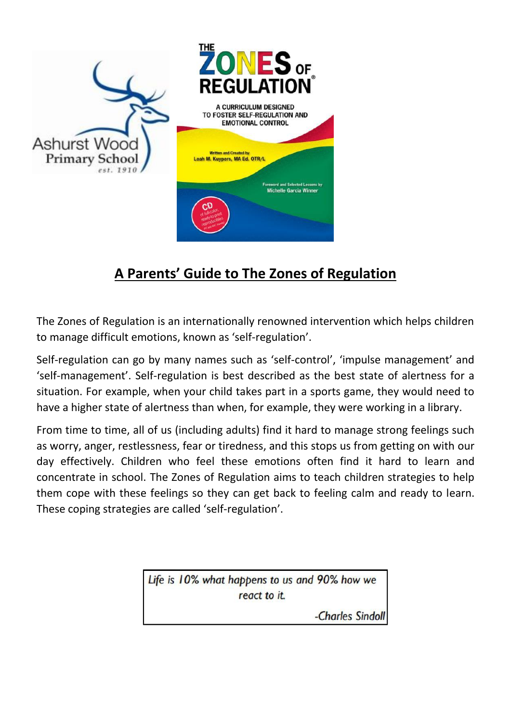

# **A Parents' Guide to The Zones of Regulation**

The Zones of Regulation is an internationally renowned intervention which helps children to manage difficult emotions, known as 'self-regulation'.

Self-regulation can go by many names such as 'self-control', 'impulse management' and 'self-management'. Self-regulation is best described as the best state of alertness for a situation. For example, when your child takes part in a sports game, they would need to have a higher state of alertness than when, for example, they were working in a library.

From time to time, all of us (including adults) find it hard to manage strong feelings such as worry, anger, restlessness, fear or tiredness, and this stops us from getting on with our day effectively. Children who feel these emotions often find it hard to learn and concentrate in school. The Zones of Regulation aims to teach children strategies to help them cope with these feelings so they can get back to feeling calm and ready to learn. These coping strategies are called 'self-regulation'.

> Life is 10% what happens to us and 90% how we react to it.

> > -Charles Sindoll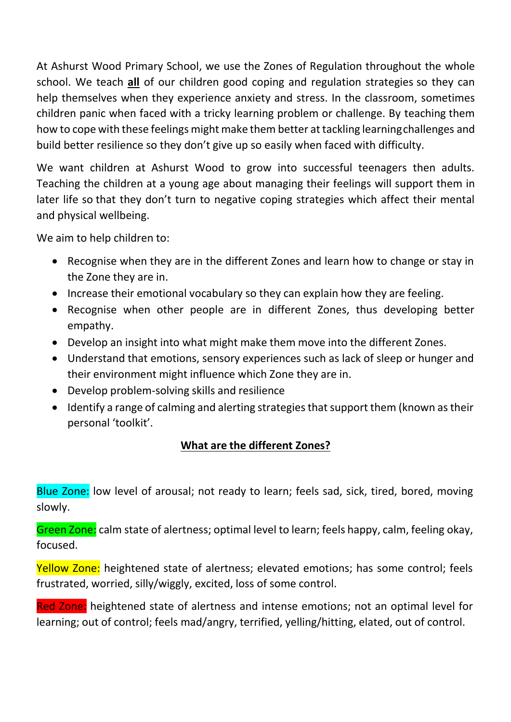At Ashurst Wood Primary School, we use the Zones of Regulation throughout the whole school. We teach **all** of our children good coping and regulation strategies so they can help themselves when they experience anxiety and stress. In the classroom, sometimes children panic when faced with a tricky learning problem or challenge. By teaching them how to cope with these feelings might make them better at tackling learningchallenges and build better resilience so they don't give up so easily when faced with difficulty.

We want children at Ashurst Wood to grow into successful teenagers then adults. Teaching the children at a young age about managing their feelings will support them in later life so that they don't turn to negative coping strategies which affect their mental and physical wellbeing.

We aim to help children to:

- Recognise when they are in the different Zones and learn how to change or stay in the Zone they are in.
- Increase their emotional vocabulary so they can explain how they are feeling.
- Recognise when other people are in different Zones, thus developing better empathy.
- Develop an insight into what might make them move into the different Zones.
- Understand that emotions, sensory experiences such as lack of sleep or hunger and their environment might influence which Zone they are in.
- Develop problem-solving skills and resilience
- Identify a range of calming and alerting strategies that support them (known as their personal 'toolkit'.

# **What are the different Zones?**

Blue Zone: low level of arousal; not ready to learn; feels sad, sick, tired, bored, moving slowly.

Green Zone: calm state of alertness; optimal level to learn; feels happy, calm, feeling okay, focused.

Yellow Zone: heightened state of alertness; elevated emotions; has some control; feels frustrated, worried, silly/wiggly, excited, loss of some control.

Red Zone: heightened state of alertness and intense emotions; not an optimal level for learning; out of control; feels mad/angry, terrified, yelling/hitting, elated, out of control.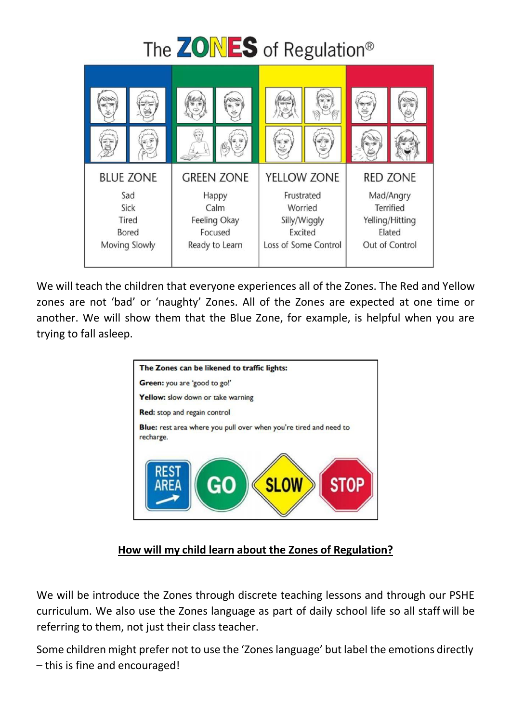

We will teach the children that everyone experiences all of the Zones. The Red and Yellow zones are not 'bad' or 'naughty' Zones. All of the Zones are expected at one time or another. We will show them that the Blue Zone, for example, is helpful when you are trying to fall asleep.



#### **How will my child learn about the Zones of Regulation?**

We will be introduce the Zones through discrete teaching lessons and through our PSHE curriculum. We also use the Zones language as part of daily school life so all staff will be referring to them, not just their class teacher.

Some children might prefer not to use the 'Zones language' but label the emotions directly – this is fine and encouraged!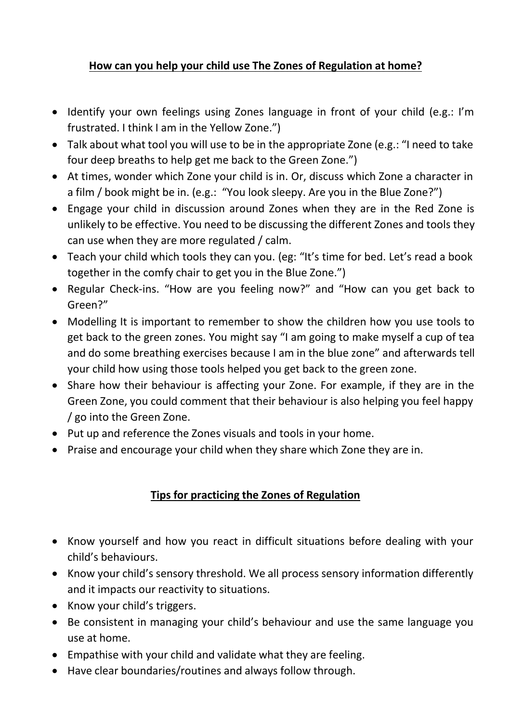## **How can you help your child use The Zones of Regulation at home?**

- Identify your own feelings using Zones language in front of your child (e.g.: I'm frustrated. I think I am in the Yellow Zone.")
- Talk about what tool you will use to be in the appropriate Zone (e.g.: "I need to take four deep breaths to help get me back to the Green Zone.")
- At times, wonder which Zone your child is in. Or, discuss which Zone a character in a film / book might be in. (e.g.: "You look sleepy. Are you in the Blue Zone?")
- Engage your child in discussion around Zones when they are in the Red Zone is unlikely to be effective. You need to be discussing the different Zones and tools they can use when they are more regulated / calm.
- Teach your child which tools they can you. (eg: "It's time for bed. Let's read a book together in the comfy chair to get you in the Blue Zone.")
- Regular Check-ins. "How are you feeling now?" and "How can you get back to Green?"
- Modelling It is important to remember to show the children how you use tools to get back to the green zones. You might say "I am going to make myself a cup of tea and do some breathing exercises because I am in the blue zone" and afterwards tell your child how using those tools helped you get back to the green zone.
- Share how their behaviour is affecting your Zone. For example, if they are in the Green Zone, you could comment that their behaviour is also helping you feel happy / go into the Green Zone.
- Put up and reference the Zones visuals and tools in your home.
- Praise and encourage your child when they share which Zone they are in.

#### **Tips for practicing the Zones of Regulation**

- Know yourself and how you react in difficult situations before dealing with your child's behaviours.
- Know your child's sensory threshold. We all process sensory information differently and it impacts our reactivity to situations.
- Know your child's triggers.
- Be consistent in managing your child's behaviour and use the same language you use at home.
- Empathise with your child and validate what they are feeling.
- Have clear boundaries/routines and always follow through.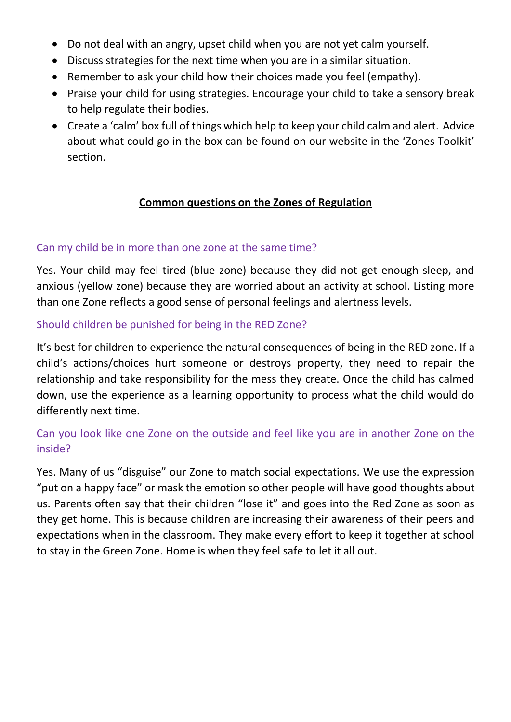- Do not deal with an angry, upset child when you are not yet calm yourself.
- Discuss strategies for the next time when you are in a similar situation.
- Remember to ask your child how their choices made you feel (empathy).
- Praise your child for using strategies. Encourage your child to take a sensory break to help regulate their bodies.
- Create a 'calm' box full of things which help to keep your child calm and alert. Advice about what could go in the box can be found on our website in the 'Zones Toolkit' section.

#### **Common questions on the Zones of Regulation**

#### Can my child be in more than one zone at the same time?

Yes. Your child may feel tired (blue zone) because they did not get enough sleep, and anxious (yellow zone) because they are worried about an activity at school. Listing more than one Zone reflects a good sense of personal feelings and alertness levels.

#### Should children be punished for being in the RED Zone?

It's best for children to experience the natural consequences of being in the RED zone. If a child's actions/choices hurt someone or destroys property, they need to repair the relationship and take responsibility for the mess they create. Once the child has calmed down, use the experience as a learning opportunity to process what the child would do differently next time.

## Can you look like one Zone on the outside and feel like you are in another Zone on the inside?

Yes. Many of us "disguise" our Zone to match social expectations. We use the expression "put on a happy face" or mask the emotion so other people will have good thoughts about us. Parents often say that their children "lose it" and goes into the Red Zone as soon as they get home. This is because children are increasing their awareness of their peers and expectations when in the classroom. They make every effort to keep it together at school to stay in the Green Zone. Home is when they feel safe to let it all out.